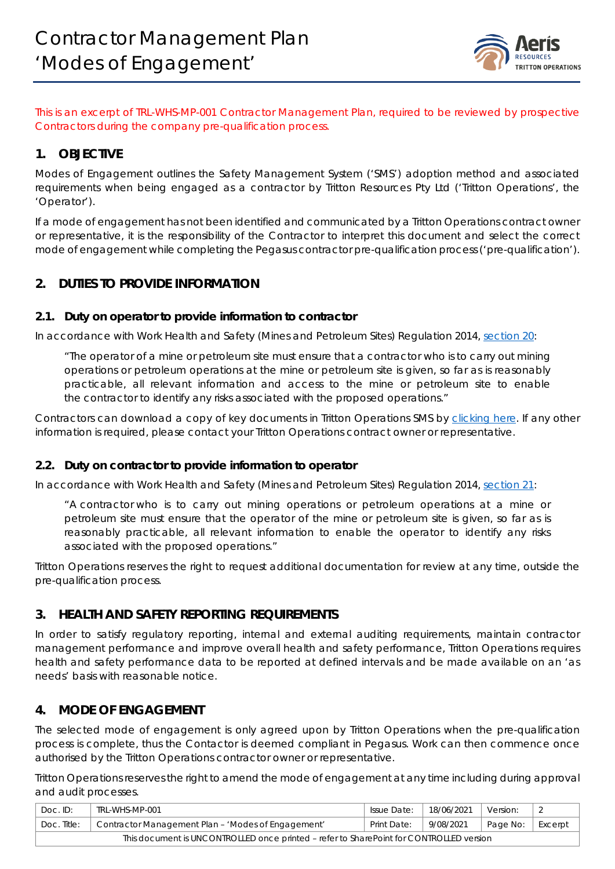

*This is an excerpt of TRL-WHS-MP-001 Contractor Management Plan, required to be reviewed by prospective Contractors during the company pre-qualification process.*

## **1. OBJECTIVE**

*Modes of Engagement* outlines the Safety Management System ('SMS') adoption method and associated requirements when being engaged as a contractor by Tritton Resources Pty Ltd ('Tritton Operations', the 'Operator').

If a mode of engagement has not been identified and communicated by a Tritton Operations contract owner or representative, it is the responsibility of the Contractor to interpret this document and select the correct mode of engagement while completing the Pegasus contractor pre-qualification process ('pre-qualification').

# **2. DUTIES TO PROVIDE INFORMATION**

#### **2.1. Duty on operator to provide information to contractor**

In accordance with *Work Health and Safety (Mines and Petroleum Sites) Regulation 2014, [section 20](https://legislation.nsw.gov.au/view/html/inforce/2021-02-01/sl-2014-0799?query=VersionSeriesId%3D%225bf1df1e-479e-46a3-8d75-11a2798b0dbf%22+AND+VersionDescId%3D%2272faf31e-ada3-4f7a-b10d-fe92852956c9%22+AND+PrintType%3D%22reprint%22+AND+(VersionDescId%3D%2272faf31e-ada3-4f7a-b10d-fe92852956c9%22+AND+VersionSeriesId%3D%225bf1df1e-479e-46a3-8d75-11a2798b0dbf%22+AND+PrintType%3D%22reprint%22+AND+Content%3D(%22contractor%22))&dQuery=Document+Types%3D%22%3Cspan+class%3D%27dq-highlight%27%3EActs%3C%2Fspan%3E%2C+%3Cspan+class%3D%27dq-highlight%27%3ERegulations%3C%2Fspan%3E%2C+%3Cspan+class%3D%27dq-highlight%27%3EEPIs%3C%2Fspan%3E%22%2C+Search+In%3D%22%3Cspan+class%3D%27dq-highlight%27%3EAll+Content%3C%2Fspan%3E%22%2C+Exact+Phrase%3D%22%3Cspan+class%3D%27dq-highlight%27%3Econtractor%3C%2Fspan%3E%22%2C+Point+In+Time%3D%22%3Cspan+class%3D%27dq-highlight%27%3E01%2F02%2F2021%3C%2Fspan%3E%22#sec.20)*:

*"The operator of a mine or petroleum site must ensure that a contractor who is to carry out mining operations or petroleum operations at the mine or petroleum site is given, so far as is reasonably practicable, all relevant information and access to the mine or petroleum site to enable the contractor to identify any risks associated with the proposed operations."*

Contractors can download a copy of key documents in Tritton Operations SMS by [clicking here.](https://aerisresources-my.sharepoint.com/:f:/g/personal/lturner_aerisresources_com_au/EsfsiBDzqbtOsJog3Klb0ZEBm_Nezde5apK1Re-HQob34A?e=Orvesm) If any other information is required, please contact your Tritton Operations contract owner or representative.

#### **2.2. Duty on contractor to provide information to operator**

In accordance with *Work Health and Safety (Mines and Petroleum Sites) Regulation 2014, [section 21:](https://legislation.nsw.gov.au/view/html/inforce/2021-02-01/sl-2014-0799?query=VersionSeriesId%3D%225bf1df1e-479e-46a3-8d75-11a2798b0dbf%22+AND+VersionDescId%3D%2272faf31e-ada3-4f7a-b10d-fe92852956c9%22+AND+PrintType%3D%22reprint%22+AND+(VersionDescId%3D%2272faf31e-ada3-4f7a-b10d-fe92852956c9%22+AND+VersionSeriesId%3D%225bf1df1e-479e-46a3-8d75-11a2798b0dbf%22+AND+PrintType%3D%22reprint%22+AND+Content%3D(%22contractor%22))&dQuery=Document+Types%3D%22%3Cspan+class%3D%27dq-highlight%27%3EActs%3C%2Fspan%3E%2C+%3Cspan+class%3D%27dq-highlight%27%3ERegulations%3C%2Fspan%3E%2C+%3Cspan+class%3D%27dq-highlight%27%3EEPIs%3C%2Fspan%3E%22%2C+Search+In%3D%22%3Cspan+class%3D%27dq-highlight%27%3EAll+Content%3C%2Fspan%3E%22%2C+Exact+Phrase%3D%22%3Cspan+class%3D%27dq-highlight%27%3Econtractor%3C%2Fspan%3E%22%2C+Point+In+Time%3D%22%3Cspan+class%3D%27dq-highlight%27%3E01%2F02%2F2021%3C%2Fspan%3E%22#sec.21)*

*"A contractor who is to carry out mining operations or petroleum operations at a mine or*  petroleum site must ensure that the operator of the mine or petroleum site is given, so far as is *reasonably practicable, all relevant information to enable the operator to identify any risks associated with the proposed operations."*

Tritton Operations reserves the right to request additional documentation for review at any time, outside the pre-qualification process.

# **3. HEALTH AND SAFETY REPORTING REQUIREMENTS**

In order to satisfy regulatory reporting, internal and external auditing requirements, maintain contractor management performance and improve overall health and safety performance, Tritton Operations requires health and safety performance data to be reported at defined intervals and be made available on an 'as needs' basis with reasonable notice.

### **4. MODE OF ENGAGEMENT**

The selected mode of engagement is only agreed upon by Tritton Operations when the pre-qualification process is complete, thus the Contactor is deemed compliant in Pegasus. Work can then commence once authorised by the Tritton Operations contractor owner or representative.

Tritton Operations reserves the right to amend the mode of engagement at any time including during approval and audit processes.

| Doc. ID:                                                                                | TRL-WHS-MP-001                                     | Issue Date: | 18/06/2021 | Version:   |         |  |  |
|-----------------------------------------------------------------------------------------|----------------------------------------------------|-------------|------------|------------|---------|--|--|
| Doc. Title:                                                                             | Contractor Management Plan - 'Modes of Engagement' | Print Date: | 9/08/2021  | l Page No: | Excerpt |  |  |
| This document is UNCONTROLLED once printed – refer to SharePoint for CONTROLLED version |                                                    |             |            |            |         |  |  |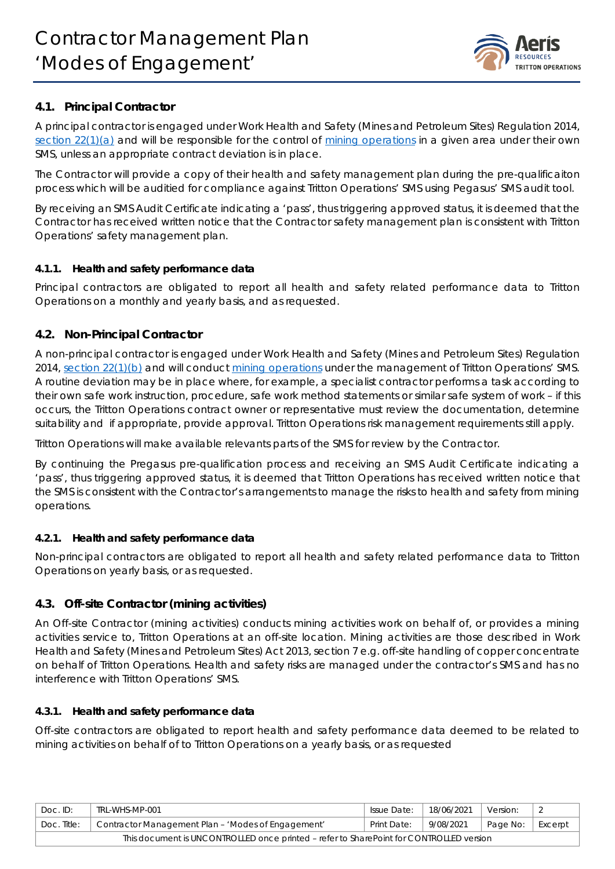

# **4.1. Principal Contractor**

A principal contractor is engaged under *Work Health and Safety (Mines and Petroleum Sites) Regulation 2014, [section 22\(1\)\(a\)](https://legislation.nsw.gov.au/view/html/inforce/2021-02-01/sl-2014-0799?query=VersionSeriesId%3D%225bf1df1e-479e-46a3-8d75-11a2798b0dbf%22+AND+VersionDescId%3D%2272faf31e-ada3-4f7a-b10d-fe92852956c9%22+AND+PrintType%3D%22reprint%22+AND+(VersionDescId%3D%2272faf31e-ada3-4f7a-b10d-fe92852956c9%22+AND+VersionSeriesId%3D%225bf1df1e-479e-46a3-8d75-11a2798b0dbf%22+AND+PrintType%3D%22reprint%22+AND+Content%3D(%22contractor%22))&dQuery=Document+Types%3D%22%3Cspan+class%3D%27dq-highlight%27%3EActs%3C%2Fspan%3E%2C+%3Cspan+class%3D%27dq-highlight%27%3ERegulations%3C%2Fspan%3E%2C+%3Cspan+class%3D%27dq-highlight%27%3EEPIs%3C%2Fspan%3E%22%2C+Search+In%3D%22%3Cspan+class%3D%27dq-highlight%27%3EAll+Content%3C%2Fspan%3E%22%2C+Exact+Phrase%3D%22%3Cspan+class%3D%27dq-highlight%27%3Econtractor%3C%2Fspan%3E%22%2C+Point+In+Time%3D%22%3Cspan+class%3D%27dq-highlight%27%3E01%2F02%2F2021%3C%2Fspan%3E%22#pt.2-div.1-sdiv.4)* and will be responsible for the control of [mining operations](https://legislation.nsw.gov.au/view/html/inforce/2019-12-05/act-2013-054?query=VersionSeriesId%3D%227428208d-6050-4bcb-ab5f-917c554bf840%22+AND+VersionDescId%3D%2269ab387a-faac-4af1-b7b7-0bb01708461d%22+AND+PrintType%3D%22act.reprint%22+AND+(VersionDescId%3D%2269ab387a-faac-4af1-b7b7-0bb01708461d%22+AND+VersionSeriesId%3D%227428208d-6050-4bcb-ab5f-917c554bf840%22+AND+PrintType%3D%22act.reprint%22+AND+Content%3D(%22mining+operations%22))&dQuery=Document+Types%3D%22%3Cspan+class%3D%27dq-highlight%27%3EActs%3C%2Fspan%3E%2C+%3Cspan+class%3D%27dq-highlight%27%3ERegulations%3C%2Fspan%3E%2C+%3Cspan+class%3D%27dq-highlight%27%3EEPIs%3C%2Fspan%3E%22%2C+Search+In%3D%22%3Cspan+class%3D%27dq-highlight%27%3EAll+Content%3C%2Fspan%3E%22%2C+Exact+Phrase%3D%22%3Cspan+class%3D%27dq-highlight%27%3Emining+operations%3C%2Fspan%3E%22%2C+Point+In+Time%3D%22%3Cspan+class%3D%27dq-highlight%27%3E05%2F12%2F2019%3C%2Fspan%3E%22#sec.7) in a given area under their own SMS, unless an appropriate contract deviation is in place.

The Contractor will provide a copy of their health and safety management plan during the pre-qualificaiton process which will be auditied for compliance against Tritton Operations' SMS using Pegasus' SMS audit tool.

By receiving an SMS Audit Certificate indicating a 'pass', thus triggering approved status, it is deemed that the Contractor has received written notice that the Contractor safety management plan is consistent with Tritton Operations' safety management plan.

### **4.1.1. Health and safety performance data**

Principal contractors are obligated to report all health and safety related performance data to Tritton Operations on a monthly and yearly basis, and as requested.

### **4.2. Non-Principal Contractor**

A non-principal contractor is engaged under *Work Health and Safety (Mines and Petroleum Sites) Regulation 2014, [section 22\(1\)\(b\)](https://legislation.nsw.gov.au/view/html/inforce/2021-02-01/sl-2014-0799?query=VersionSeriesId%3D%225bf1df1e-479e-46a3-8d75-11a2798b0dbf%22+AND+VersionDescId%3D%2272faf31e-ada3-4f7a-b10d-fe92852956c9%22+AND+PrintType%3D%22reprint%22+AND+(VersionDescId%3D%2272faf31e-ada3-4f7a-b10d-fe92852956c9%22+AND+VersionSeriesId%3D%225bf1df1e-479e-46a3-8d75-11a2798b0dbf%22+AND+PrintType%3D%22reprint%22+AND+Content%3D(%22contractor%22))&dQuery=Document+Types%3D%22%3Cspan+class%3D%27dq-highlight%27%3EActs%3C%2Fspan%3E%2C+%3Cspan+class%3D%27dq-highlight%27%3ERegulations%3C%2Fspan%3E%2C+%3Cspan+class%3D%27dq-highlight%27%3EEPIs%3C%2Fspan%3E%22%2C+Search+In%3D%22%3Cspan+class%3D%27dq-highlight%27%3EAll+Content%3C%2Fspan%3E%22%2C+Exact+Phrase%3D%22%3Cspan+class%3D%27dq-highlight%27%3Econtractor%3C%2Fspan%3E%22%2C+Point+In+Time%3D%22%3Cspan+class%3D%27dq-highlight%27%3E01%2F02%2F2021%3C%2Fspan%3E%22#pt.2-div.1-sdiv.4)* and will conduct [mining operations](https://legislation.nsw.gov.au/view/html/inforce/2019-12-05/act-2013-054?query=VersionSeriesId%3D%227428208d-6050-4bcb-ab5f-917c554bf840%22+AND+VersionDescId%3D%2269ab387a-faac-4af1-b7b7-0bb01708461d%22+AND+PrintType%3D%22act.reprint%22+AND+(VersionDescId%3D%2269ab387a-faac-4af1-b7b7-0bb01708461d%22+AND+VersionSeriesId%3D%227428208d-6050-4bcb-ab5f-917c554bf840%22+AND+PrintType%3D%22act.reprint%22+AND+Content%3D(%22mining+operations%22))&dQuery=Document+Types%3D%22%3Cspan+class%3D%27dq-highlight%27%3EActs%3C%2Fspan%3E%2C+%3Cspan+class%3D%27dq-highlight%27%3ERegulations%3C%2Fspan%3E%2C+%3Cspan+class%3D%27dq-highlight%27%3EEPIs%3C%2Fspan%3E%22%2C+Search+In%3D%22%3Cspan+class%3D%27dq-highlight%27%3EAll+Content%3C%2Fspan%3E%22%2C+Exact+Phrase%3D%22%3Cspan+class%3D%27dq-highlight%27%3Emining+operations%3C%2Fspan%3E%22%2C+Point+In+Time%3D%22%3Cspan+class%3D%27dq-highlight%27%3E05%2F12%2F2019%3C%2Fspan%3E%22#sec.7) under the management of Tritton Operations' SMS. A routine deviation may be in place where, for example, a specialist contractor performs a task according to their own safe work instruction, procedure, safe work method statements or similar safe system of work – if this occurs, the Tritton Operations contract owner or representative must review the documentation, determine suitability and if appropriate, provide approval. Tritton Operations risk management requirements still apply.

Tritton Operations will make available relevants parts of the SMS for review by the Contractor.

By continuing the Pregasus pre-qualification process and receiving an SMS Audit Certificate indicating a 'pass', thus triggering approved status, it is deemed that Tritton Operations has received written notice that the SMS is consistent with the Contractor's arrangements to manage the risks to health and safety from mining operations.

#### **4.2.1. Health and safety performance data**

Non-principal contractors are obligated to report all health and safety related performance data to Tritton Operations on yearly basis, or as requested.

### **4.3. Off-site Contractor (mining activities)**

An Off-site Contractor (mining activities) conducts mining activities work on behalf of, or provides a mining activities service to, Tritton Operations at an off-site location. Mining activities are those described in *Work Health and Safety (Mines and Petroleum Sites) Act 2013, section 7 e.g. off-site handling of copper concentrate* on behalf of Tritton Operations. Health and safety risks are managed under the contractor's SMS and has no interference with Tritton Operations' SMS.

#### **4.3.1. Health and safety performance data**

Off-site contractors are obligated to report health and safety performance data deemed to be related to mining activities on behalf of to Tritton Operations on a yearly basis, or as requested

| Doc. ID:                                                                                | TRL-WHS-MP-001                                     | Issue Date: | 18/06/2021 | Version: |         |  |  |
|-----------------------------------------------------------------------------------------|----------------------------------------------------|-------------|------------|----------|---------|--|--|
| Doc. Title:                                                                             | Contractor Management Plan - 'Modes of Engagement' | Print Date: | 9/08/2021  | Page No: | Excerpt |  |  |
| This document is UNCONTROLLED once printed – refer to SharePoint for CONTROLLED version |                                                    |             |            |          |         |  |  |